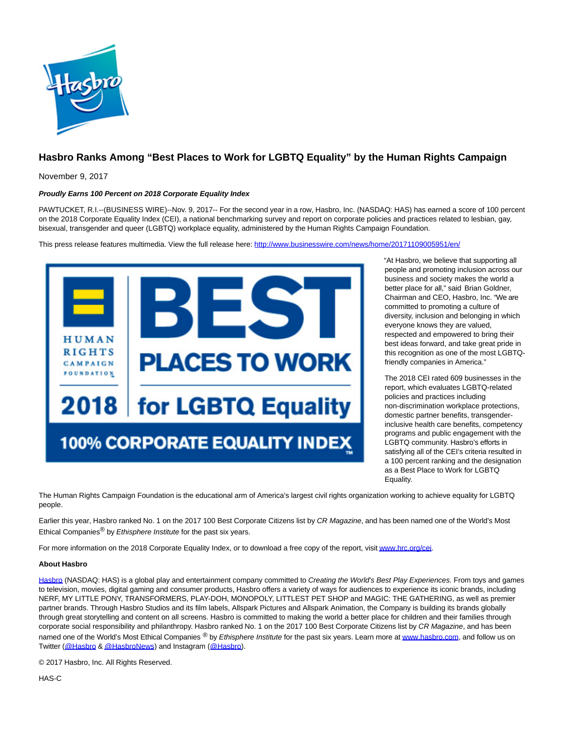

## **Hasbro Ranks Among "Best Places to Work for LGBTQ Equality" by the Human Rights Campaign**

November 9, 2017

## **Proudly Earns 100 Percent on 2018 Corporate Equality Index**

PAWTUCKET, R.I.--(BUSINESS WIRE)--Nov. 9, 2017-- For the second year in a row, Hasbro, Inc. (NASDAQ: HAS) has earned a score of 100 percent on the 2018 Corporate Equality Index (CEI), a national benchmarking survey and report on corporate policies and practices related to lesbian, gay, bisexual, transgender and queer (LGBTQ) workplace equality, administered by the Human Rights Campaign Foundation.

This press release features multimedia. View the full release here:<http://www.businesswire.com/news/home/20171109005951/en/>



"At Hasbro, we believe that supporting all people and promoting inclusion across our business and society makes the world a better place for all," said Brian Goldner, Chairman and CEO, Hasbro, Inc. "We are committed to promoting a culture of diversity, inclusion and belonging in which everyone knows they are valued, respected and empowered to bring their best ideas forward, and take great pride in this recognition as one of the most LGBTQfriendly companies in America."

The 2018 CEI rated 609 businesses in the report, which evaluates LGBTQ-related policies and practices including non-discrimination workplace protections, domestic partner benefits, transgenderinclusive health care benefits, competency programs and public engagement with the LGBTQ community. Hasbro's efforts in satisfying all of the CEI's criteria resulted in a 100 percent ranking and the designation as a Best Place to Work for LGBTQ Equality.

The Human Rights Campaign Foundation is the educational arm of America's largest civil rights organization working to achieve equality for LGBTQ people.

Earlier this year, Hasbro ranked No. 1 on the 2017 100 Best Corporate Citizens list by CR Magazine, and has been named one of the World's Most Ethical Companies<sup>®</sup> by *Ethisphere Institute* for the past six years.

For more information on the 2018 Corporate Equality Index, or to download a free copy of the report, visi[t www.hrc.org/cei.](http://cts.businesswire.com/ct/CT?id=smartlink&url=http%3A%2F%2Fwww.hrc.org%2Fcei&esheet=51714097&newsitemid=20171109005951&lan=en-US&anchor=www.hrc.org%2Fcei&index=1&md5=cf56b9163a6a056f90b1a522fdc19975)

## **About Hasbro**

[Hasbro \(](http://cts.businesswire.com/ct/CT?id=smartlink&url=http%3A%2F%2Fwww.hasbro.com&esheet=51714097&newsitemid=20171109005951&lan=en-US&anchor=Hasbro&index=2&md5=3f86613736e0bbe3456bb18a56407524)NASDAQ: HAS) is a global play and entertainment company committed to Creating the World's Best Play Experiences. From toys and games to television, movies, digital gaming and consumer products, Hasbro offers a variety of ways for audiences to experience its iconic brands, including NERF, MY LITTLE PONY, TRANSFORMERS, PLAY-DOH, MONOPOLY, LITTLEST PET SHOP and MAGIC: THE GATHERING, as well as premier partner brands. Through Hasbro Studios and its film labels, Allspark Pictures and Allspark Animation, the Company is building its brands globally through great storytelling and content on all screens. Hasbro is committed to making the world a better place for children and their families through corporate social responsibility and philanthropy. Hasbro ranked No. 1 on the 2017 100 Best Corporate Citizens list by CR Magazine, and has been named one of the World's Most Ethical Companies ® by Ethisphere Institute for the past six years. Learn more a[t www.hasbro.com,](http://cts.businesswire.com/ct/CT?id=smartlink&url=http%3A%2F%2Fwww.hasbro.com%2F&esheet=51714097&newsitemid=20171109005951&lan=en-US&anchor=www.hasbro.com&index=3&md5=db39646dcdb035742c33f669ca01cd82) and follow us on Twitter [\(@Hasbro &](http://cts.businesswire.com/ct/CT?id=smartlink&url=https%3A%2F%2Ftwitter.com%2FHasbro&esheet=51714097&newsitemid=20171109005951&lan=en-US&anchor=%40Hasbro&index=4&md5=5c6c0281d38625424b6566350db9cc0a) [@HasbroNews\)](http://cts.businesswire.com/ct/CT?id=smartlink&url=https%3A%2F%2Ftwitter.com%2FHasbroNews&esheet=51714097&newsitemid=20171109005951&lan=en-US&anchor=%40HasbroNews&index=5&md5=6fd5e3f122f0b58f16593601fb20b088) and Instagram [\(@Hasbro\).](http://cts.businesswire.com/ct/CT?id=smartlink&url=https%3A%2F%2Finstagram.com%2Fhasbro%2F%3Fhl%3Den&esheet=51714097&newsitemid=20171109005951&lan=en-US&anchor=%40Hasbro&index=6&md5=bb654562866d163baf9bd992ee349760)

© 2017 Hasbro, Inc. All Rights Reserved.

HAS-C